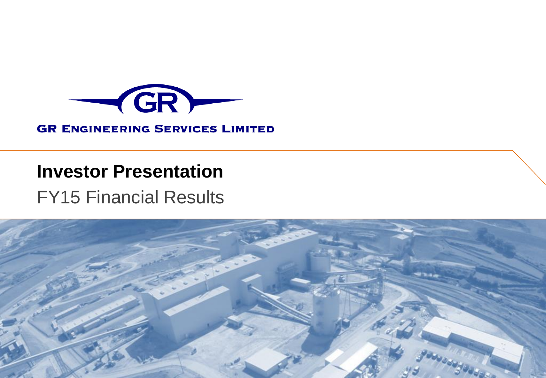

### **GR ENGINEERING SERVICES LIMITED**

## **Investor Presentation** FY15 Financial Results

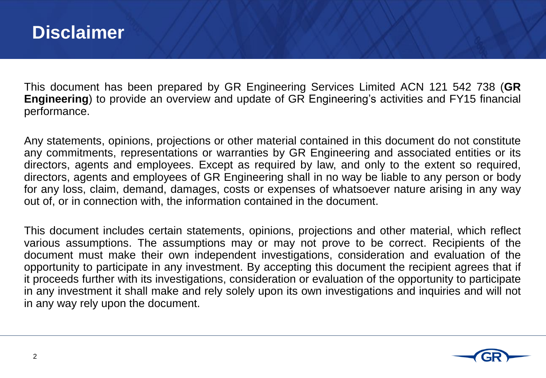### **Disclaimer**

This document has been prepared by GR Engineering Services Limited ACN 121 542 738 (**GR Engineering**) to provide an overview and update of GR Engineering's activities and FY15 financial performance.

Any statements, opinions, projections or other material contained in this document do not constitute any commitments, representations or warranties by GR Engineering and associated entities or its directors, agents and employees. Except as required by law, and only to the extent so required, directors, agents and employees of GR Engineering shall in no way be liable to any person or body for any loss, claim, demand, damages, costs or expenses of whatsoever nature arising in any way out of, or in connection with, the information contained in the document.

This document includes certain statements, opinions, projections and other material, which reflect various assumptions. The assumptions may or may not prove to be correct. Recipients of the document must make their own independent investigations, consideration and evaluation of the opportunity to participate in any investment. By accepting this document the recipient agrees that if it proceeds further with its investigations, consideration or evaluation of the opportunity to participate in any investment it shall make and rely solely upon its own investigations and inquiries and will not in any way rely upon the document.

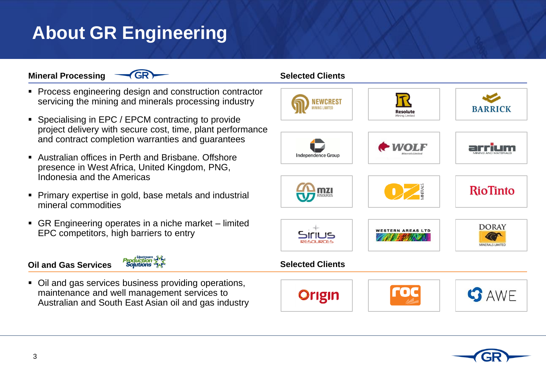# **About GR Engineering**

Mineral Processing GR<sup>></sup> GR<sup>></sup> Selected Clients



- **Process engineering design and construction contractor** servicing the mining and minerals processing industry
- Specialising in EPC / EPCM contracting to provide project delivery with secure cost, time, plant performance and contract completion warranties and guarantees
- Australian offices in Perth and Brisbane. Offshore presence in West Africa, United Kingdom, PNG, Indonesia and the Americas
- Primary expertise in gold, base metals and industrial mineral commodities
- GR Engineering operates in a niche market limited EPC competitors, high barriers to entry

#### **Oil and Gas Services**



 Oil and gas services business providing operations, maintenance and well management services to Australian and South East Asian oil and gas industry



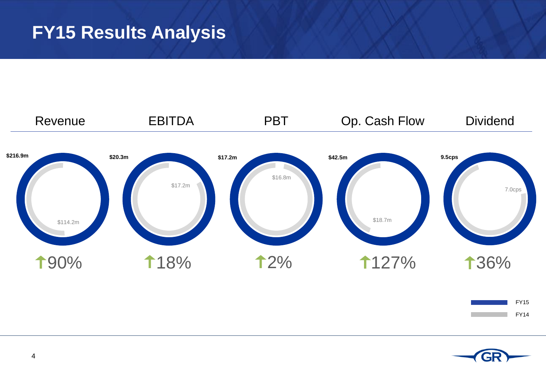### **FY15 Results Analysis**





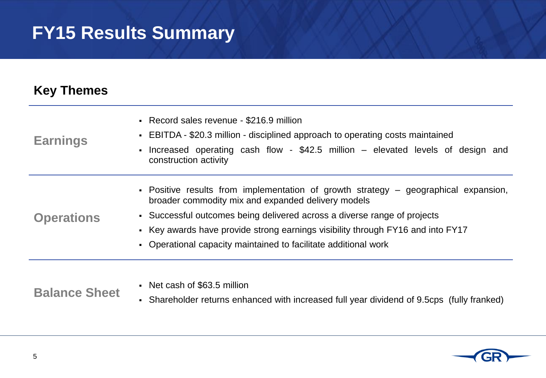### **FY15 Results Summary**

### **Key Themes**

| <b>Earnings</b>      | • Record sales revenue - \$216.9 million<br>• EBITDA - \$20.3 million - disciplined approach to operating costs maintained<br>Increased operating cash flow - $$42.5$ million – elevated levels of design and<br>$\blacksquare$<br>construction activity                                                                                                                    |
|----------------------|-----------------------------------------------------------------------------------------------------------------------------------------------------------------------------------------------------------------------------------------------------------------------------------------------------------------------------------------------------------------------------|
| <b>Operations</b>    | • Positive results from implementation of growth strategy – geographical expansion,<br>broader commodity mix and expanded delivery models<br>• Successful outcomes being delivered across a diverse range of projects<br>• Key awards have provide strong earnings visibility through FY16 and into FY17<br>• Operational capacity maintained to facilitate additional work |
| <b>Balance Sheet</b> | • Net cash of \$63.5 million                                                                                                                                                                                                                                                                                                                                                |

Shareholder returns enhanced with increased full year dividend of 9.5cps (fully franked)

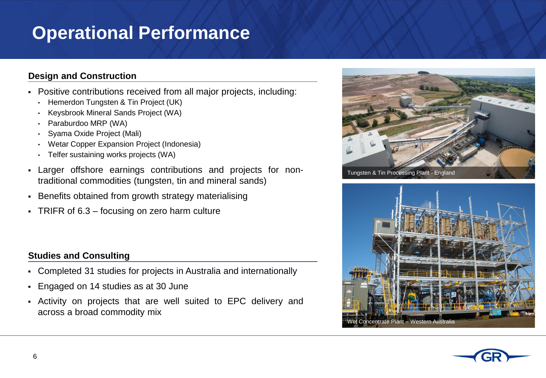## **Operational Performance**

#### **Design and Construction**

- Positive contributions received from all major projects, including:
	- Hemerdon Tungsten & Tin Project (UK)
	- Keysbrook Mineral Sands Project (WA)
	- Paraburdoo MRP (WA)
	- Syama Oxide Project (Mali)
	- Wetar Copper Expansion Project (Indonesia)
	- Telfer sustaining works projects (WA)
- Larger offshore earnings contributions and projects for nontraditional commodities (tungsten, tin and mineral sands)
- **Benefits obtained from growth strategy materialising**
- TRIFR of 6.3 focusing on zero harm culture

#### **Studies and Consulting**

- Completed 31 studies for projects in Australia and internationally
- Engaged on 14 studies as at 30 June
- Activity on projects that are well suited to EPC delivery and across a broad commodity mix



Tungsten & Tin Processing Plant - England



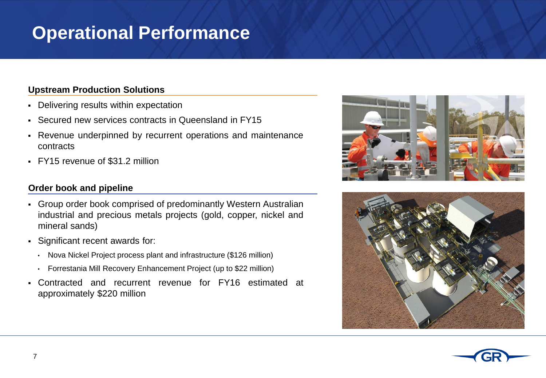### **Operational Performance**

#### **Upstream Production Solutions**

- Delivering results within expectation
- Secured new services contracts in Queensland in FY15
- Revenue underpinned by recurrent operations and maintenance contracts
- FY15 revenue of \$31.2 million

#### **Order book and pipeline**

- Group order book comprised of predominantly Western Australian industrial and precious metals projects (gold, copper, nickel and mineral sands)
- Significant recent awards for:
	- Nova Nickel Project process plant and infrastructure (\$126 million)
	- Forrestania Mill Recovery Enhancement Project (up to \$22 million)
- Contracted and recurrent revenue for FY16 estimated at approximately \$220 million





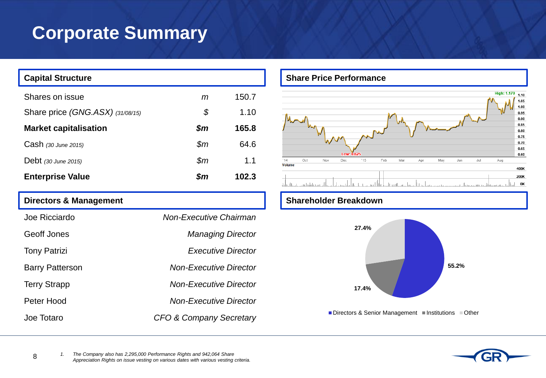### **Corporate Summary**

| <b>Capital Structure</b>         |                    |       |  |  |
|----------------------------------|--------------------|-------|--|--|
| Shares on issue                  | m                  | 150.7 |  |  |
| Share price (GNG.ASX) (31/08/15) | \$                 | 1.10  |  |  |
| <b>Market capitalisation</b>     | $\boldsymbol{\$m}$ | 165.8 |  |  |
| Cash (30 June 2015)              | $\mathfrak{m}$     | 64.6  |  |  |
| Debt (30 June 2015)              | $\mathfrak{m}$     | 1.1   |  |  |
| <b>Enterprise Value</b>          | \$m                | 102.3 |  |  |

#### **Directors & Management**

| Joe Ricciardo          | Non-Executive Chairman        |
|------------------------|-------------------------------|
| Geoff Jones            | <b>Managing Director</b>      |
| <b>Tony Patrizi</b>    | Executive Director            |
| <b>Barry Patterson</b> | Non-Executive Director        |
| <b>Terry Strapp</b>    | <b>Non-Executive Director</b> |
| Peter Hood             | <b>Non-Executive Director</b> |
| Joe Totaro             | CFO & Company Secretary       |

#### **Share Price Performance**



#### **Shareholder Breakdown**



Directors & Senior Management  $\blacksquare$  Institutions  $\blacksquare$  Other



8